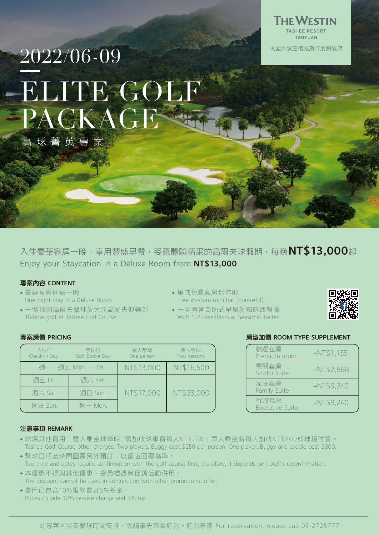

## 2022/06-09 **ELITE GOLF** PACKAGE 高球菁英專案

入住豪華客房一晚,享用豐盛早餐,姿意體驗精采的高爾夫球假期,每晚NT\$13,000起 Enjoy your Staycation in a Deluxe Room from NT\$13,000

### 專案內容 CONTENT

- 豪華客房住宿一晚 One night stay in a Deluxe Room
- 一場18洞高爾夫擊球於大溪高爾夫俱樂部 18-hole golf at Tashee Golf Course
- 單次免費客房迷你吧
	- Free in-room mini bar (non-refill)
- 一至兩客自助式早餐於知味西餐廳 With 1~2 Breakfasts at Seasonal Tastes



### 專案房價 PRICING

| 入住日<br>Check-in Day | 擊球日<br>Golf Stroke Day | 單人擊球<br>One person | 雙人擊球<br>Two persons |
|---------------------|------------------------|--------------------|---------------------|
| 週—~週五 Mon. — Fri.   |                        | NT\$13,000         | NT\$16,500          |
| 週五 Fri.             | 週六 Sat.                |                    |                     |
| 週六 Sat.             | 週日 Sun.                | NT\$17,000         | NT\$23,000          |
| 週日 Sun.             | 调一 Mon.                |                    |                     |

## 房型加價 ROOM TYPE SUPPLEMENT

| 精選客房<br>Premium room           | $+NT$1,155$ |
|--------------------------------|-------------|
| 單間套房<br>Studio Suite           | $+NT$2,888$ |
| 家庭套房<br>Family Suite           | $+NT$9,240$ |
| 行政套房<br><b>Executive Suite</b> | $+NT$9,240$ |

## 注意事項 REMARK

- 球場其他費用:雙人乘坐球車時, 需加收球車費每人NT\$250 ; 單人乘坐時每人加收NT\$800於球場付費。 Tashee Golf Course other charges: Two players, Buggy cost \$250 per person. One player, Buggy and caddie cost \$800.
- 擊球日期及時間因需另外預訂,以飯店回覆為準。 Tee time and dates require confirmation with the golf course first, therefore, it depends on hotel's reconfirmation.
- 本優惠不得與其他優惠、會員禮遇等促銷活動併用。 The discount cannot be used in conjunction with other promotional offer.
- 費用已包含10%服務費及5%稅金。 Prices include 10% service charge and 5% tax.